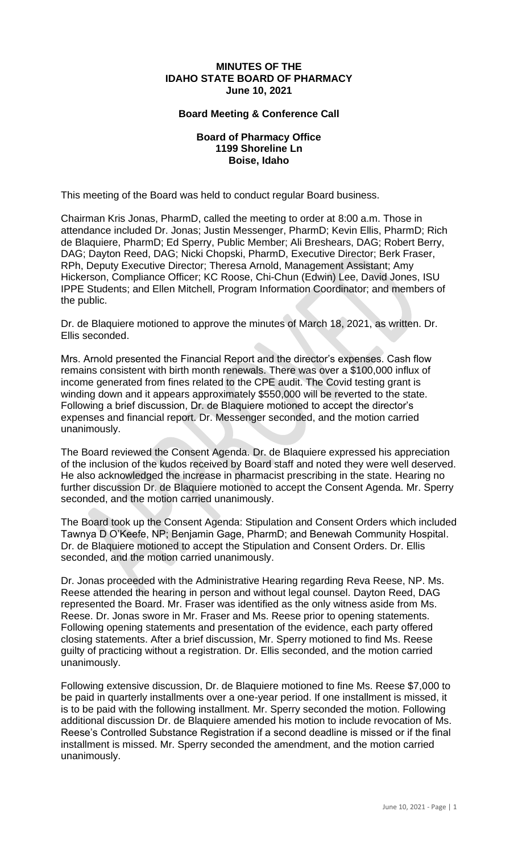## **MINUTES OF THE IDAHO STATE BOARD OF PHARMACY June 10, 2021**

## **Board Meeting & Conference Call**

## **Board of Pharmacy Office 1199 Shoreline Ln Boise, Idaho**

This meeting of the Board was held to conduct regular Board business.

Chairman Kris Jonas, PharmD, called the meeting to order at 8:00 a.m. Those in attendance included Dr. Jonas; Justin Messenger, PharmD; Kevin Ellis, PharmD; Rich de Blaquiere, PharmD; Ed Sperry, Public Member; Ali Breshears, DAG; Robert Berry, DAG; Dayton Reed, DAG; Nicki Chopski, PharmD, Executive Director; Berk Fraser, RPh, Deputy Executive Director; Theresa Arnold, Management Assistant; Amy Hickerson, Compliance Officer; KC Roose, Chi-Chun (Edwin) Lee, David Jones, ISU IPPE Students; and Ellen Mitchell, Program Information Coordinator; and members of the public.

Dr. de Blaquiere motioned to approve the minutes of March 18, 2021, as written. Dr. Ellis seconded.

Mrs. Arnold presented the Financial Report and the director's expenses. Cash flow remains consistent with birth month renewals. There was over a \$100,000 influx of income generated from fines related to the CPE audit. The Covid testing grant is winding down and it appears approximately \$550,000 will be reverted to the state. Following a brief discussion, Dr. de Blaquiere motioned to accept the director's expenses and financial report. Dr. Messenger seconded, and the motion carried unanimously.

The Board reviewed the Consent Agenda. Dr. de Blaquiere expressed his appreciation of the inclusion of the kudos received by Board staff and noted they were well deserved. He also acknowledged the increase in pharmacist prescribing in the state. Hearing no further discussion Dr. de Blaquiere motioned to accept the Consent Agenda. Mr. Sperry seconded, and the motion carried unanimously.

The Board took up the Consent Agenda: Stipulation and Consent Orders which included Tawnya D O'Keefe, NP; Benjamin Gage, PharmD; and Benewah Community Hospital. Dr. de Blaquiere motioned to accept the Stipulation and Consent Orders. Dr. Ellis seconded, and the motion carried unanimously.

Dr. Jonas proceeded with the Administrative Hearing regarding Reva Reese, NP. Ms. Reese attended the hearing in person and without legal counsel. Dayton Reed, DAG represented the Board. Mr. Fraser was identified as the only witness aside from Ms. Reese. Dr. Jonas swore in Mr. Fraser and Ms. Reese prior to opening statements. Following opening statements and presentation of the evidence, each party offered closing statements. After a brief discussion, Mr. Sperry motioned to find Ms. Reese guilty of practicing without a registration. Dr. Ellis seconded, and the motion carried unanimously.

Following extensive discussion, Dr. de Blaquiere motioned to fine Ms. Reese \$7,000 to be paid in quarterly installments over a one-year period. If one installment is missed, it is to be paid with the following installment. Mr. Sperry seconded the motion. Following additional discussion Dr. de Blaquiere amended his motion to include revocation of Ms. Reese's Controlled Substance Registration if a second deadline is missed or if the final installment is missed. Mr. Sperry seconded the amendment, and the motion carried unanimously.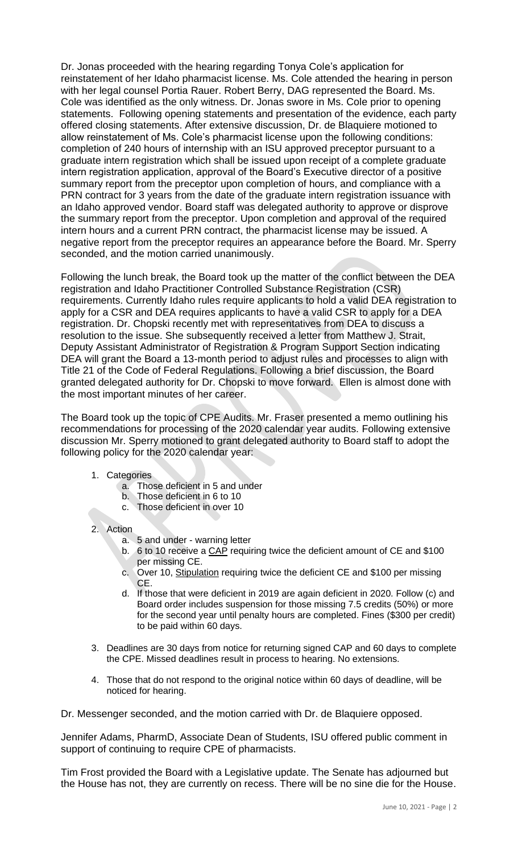Dr. Jonas proceeded with the hearing regarding Tonya Cole's application for reinstatement of her Idaho pharmacist license. Ms. Cole attended the hearing in person with her legal counsel Portia Rauer. Robert Berry, DAG represented the Board. Ms. Cole was identified as the only witness. Dr. Jonas swore in Ms. Cole prior to opening statements. Following opening statements and presentation of the evidence, each party offered closing statements. After extensive discussion, Dr. de Blaquiere motioned to allow reinstatement of Ms. Cole's pharmacist license upon the following conditions: completion of 240 hours of internship with an ISU approved preceptor pursuant to a graduate intern registration which shall be issued upon receipt of a complete graduate intern registration application, approval of the Board's Executive director of a positive summary report from the preceptor upon completion of hours, and compliance with a PRN contract for 3 years from the date of the graduate intern registration issuance with an Idaho approved vendor. Board staff was delegated authority to approve or disprove the summary report from the preceptor. Upon completion and approval of the required intern hours and a current PRN contract, the pharmacist license may be issued. A negative report from the preceptor requires an appearance before the Board. Mr. Sperry seconded, and the motion carried unanimously.

Following the lunch break, the Board took up the matter of the conflict between the DEA registration and Idaho Practitioner Controlled Substance Registration (CSR) requirements. Currently Idaho rules require applicants to hold a valid DEA registration to apply for a CSR and DEA requires applicants to have a valid CSR to apply for a DEA registration. Dr. Chopski recently met with representatives from DEA to discuss a resolution to the issue. She subsequently received a letter from Matthew J. Strait, Deputy Assistant Administrator of Registration & Program Support Section indicating DEA will grant the Board a 13-month period to adjust rules and processes to align with Title 21 of the Code of Federal Regulations. Following a brief discussion, the Board granted delegated authority for Dr. Chopski to move forward. Ellen is almost done with the most important minutes of her career.

The Board took up the topic of CPE Audits. Mr. Fraser presented a memo outlining his recommendations for processing of the 2020 calendar year audits. Following extensive discussion Mr. Sperry motioned to grant delegated authority to Board staff to adopt the following policy for the 2020 calendar year:

- 1. Categories
	- a. Those deficient in 5 and under
	- b. Those deficient in 6 to 10
	- c. Those deficient in over 10
- 2. Action
	- a. 5 and under warning letter
	- b. 6 to 10 receive a CAP requiring twice the deficient amount of CE and \$100 per missing CE.
	- c. Over 10, Stipulation requiring twice the deficient CE and \$100 per missing CE.
	- d. If those that were deficient in 2019 are again deficient in 2020. Follow (c) and Board order includes suspension for those missing 7.5 credits (50%) or more for the second year until penalty hours are completed. Fines (\$300 per credit) to be paid within 60 days.
- 3. Deadlines are 30 days from notice for returning signed CAP and 60 days to complete the CPE. Missed deadlines result in process to hearing. No extensions.
- 4. Those that do not respond to the original notice within 60 days of deadline, will be noticed for hearing.

Dr. Messenger seconded, and the motion carried with Dr. de Blaquiere opposed.

Jennifer Adams, PharmD, Associate Dean of Students, ISU offered public comment in support of continuing to require CPE of pharmacists.

Tim Frost provided the Board with a Legislative update. The Senate has adjourned but the House has not, they are currently on recess. There will be no sine die for the House.